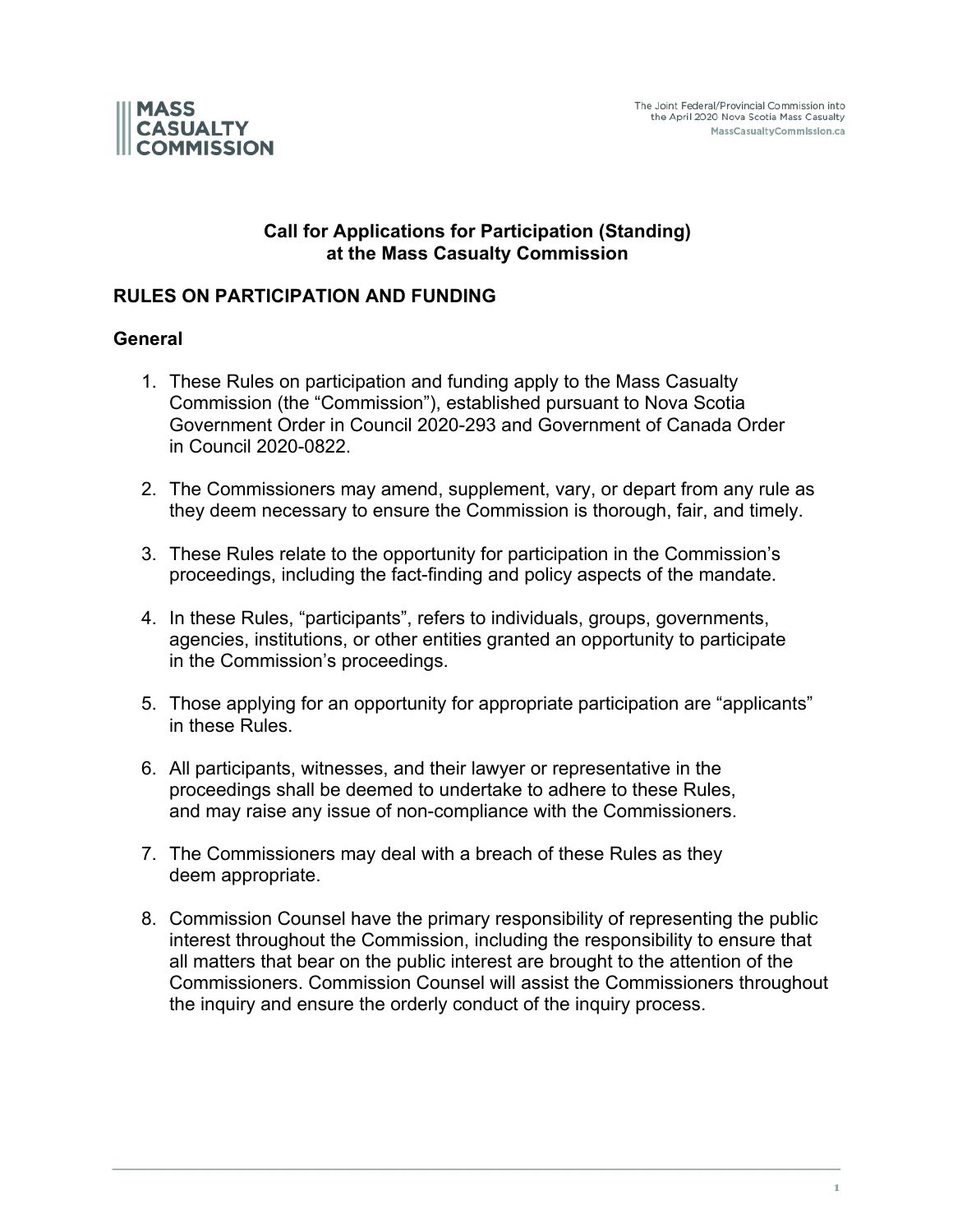



### **Call for Applications for Participation (Standing) at the Mass Casualty Commission**

### **RULES ON PARTICIPATION AND FUNDING**

#### **General**

- 1. These Rules on participation and funding apply to the Mass Casualty Commission (the "Commission"), established pursuant to Nova Scotia Government Order in Council 2020-293 and Government of Canada Order in Council 2020-0822.
- 2. The Commissioners may amend, supplement, vary, or depart from any rule as they deem necessary to ensure the Commission is thorough, fair, and timely.
- 3. These Rules relate to the opportunity for participation in the Commission's proceedings, including the fact-finding and policy aspects of the mandate.
- 4. In these Rules, "participants", refers to individuals, groups, governments, agencies, institutions, or other entities granted an opportunity to participate in the Commission's proceedings.
- 5. Those applying for an opportunity for appropriate participation are "applicants" in these Rules.
- 6. All participants, witnesses, and their lawyer or representative in the proceedings shall be deemed to undertake to adhere to these Rules, and may raise any issue of non-compliance with the Commissioners.
- 7. The Commissioners may deal with a breach of these Rules as they deem appropriate.
- 8. Commission Counsel have the primary responsibility of representing the public interest throughout the Commission, including the responsibility to ensure that all matters that bear on the public interest are brought to the attention of the Commissioners. Commission Counsel will assist the Commissioners throughout the inquiry and ensure the orderly conduct of the inquiry process.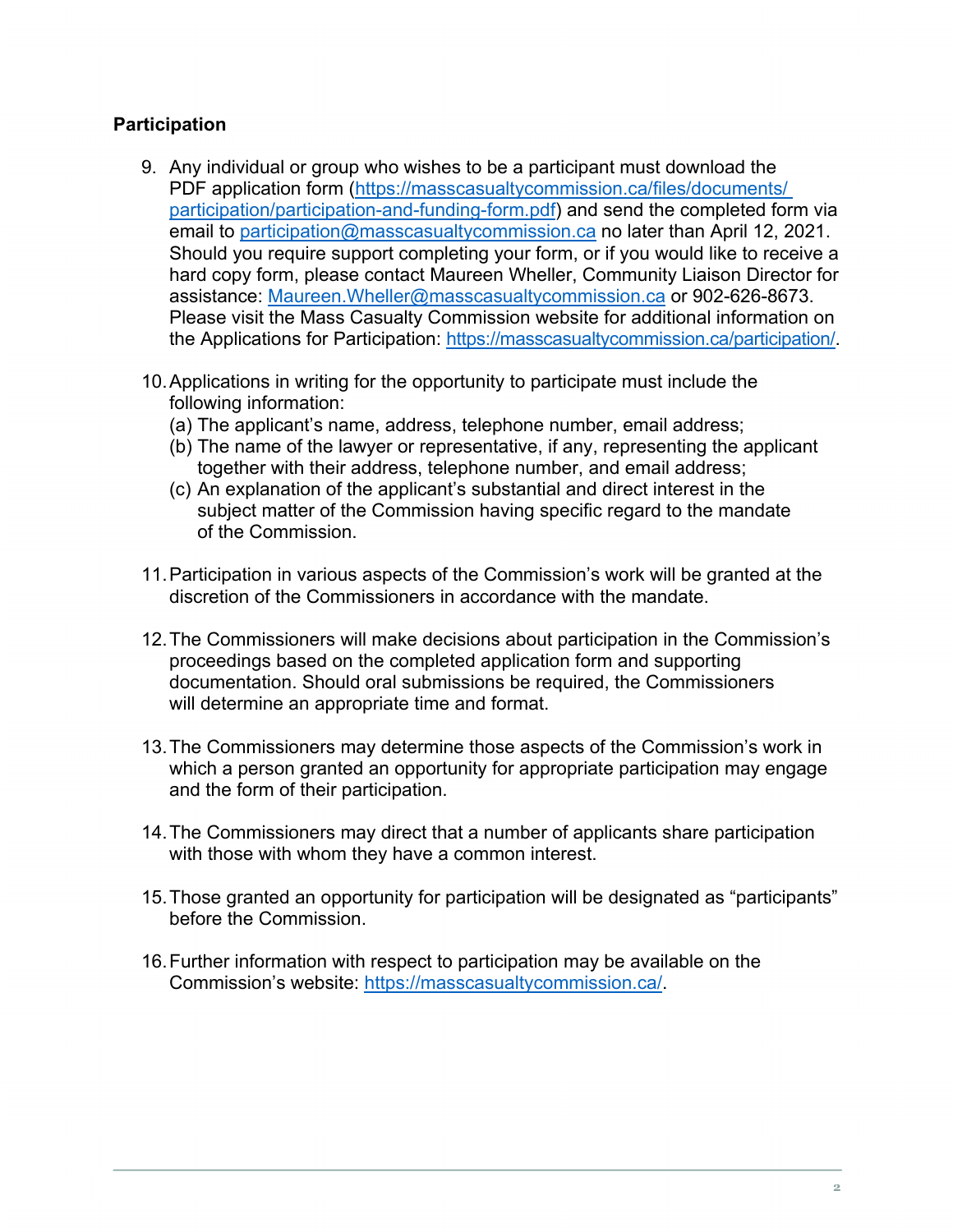# **Participation**

- 9. Any individual or group who wishes to be a participant must download the PDF application form (https://masscasualtycommission.ca/files/documents/ participation/participation-and-funding-form.pdf) and send the completed form via email to participation@masscasualtycommission.ca no later than April 12, 2021. Should you require support completing your form, or if you would like to receive a hard copy form, please contact Maureen Wheller, Community Liaison Director for assistance: Maureen.Wheller@masscasualtycommission.ca or 902-626-8673. Please visit the Mass Casualty Commission website for additional information on the Applications for Participation: https://masscasualtycommission.ca/participation/.
- 10.Applications in writing for the opportunity to participate must include the following information:
	- (a) The applicant's name, address, telephone number, email address;
	- (b) The name of the lawyer or representative, if any, representing the applicant together with their address, telephone number, and email address;
	- (c) An explanation of the applicant's substantial and direct interest in the subject matter of the Commission having specific regard to the mandate of the Commission.
- 11.Participation in various aspects of the Commission's work will be granted at the discretion of the Commissioners in accordance with the mandate.
- 12.The Commissioners will make decisions about participation in the Commission's proceedings based on the completed application form and supporting documentation. Should oral submissions be required, the Commissioners will determine an appropriate time and format.
- 13.The Commissioners may determine those aspects of the Commission's work in which a person granted an opportunity for appropriate participation may engage and the form of their participation.
- 14.The Commissioners may direct that a number of applicants share participation with those with whom they have a common interest.
- 15.Those granted an opportunity for participation will be designated as "participants" before the Commission.
- 16.Further information with respect to participation may be available on the Commission's website: https://masscasualtycommission.ca/.